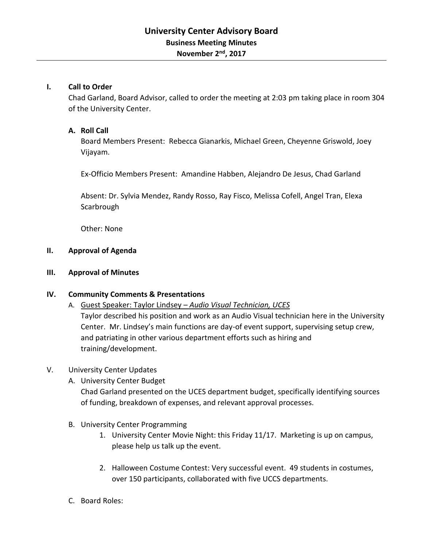## **I. Call to Order**

Chad Garland, Board Advisor, called to order the meeting at 2:03 pm taking place in room 304 of the University Center.

## **A. Roll Call**

Board Members Present: Rebecca Gianarkis, Michael Green, Cheyenne Griswold, Joey Vijayam.

Ex-Officio Members Present: Amandine Habben, Alejandro De Jesus, Chad Garland

Absent: Dr. Sylvia Mendez, Randy Rosso, Ray Fisco, Melissa Cofell, Angel Tran, Elexa **Scarbrough** 

Other: None

#### **II. Approval of Agenda**

**III. Approval of Minutes**

## **IV. Community Comments & Presentations**

A. Guest Speaker: Taylor Lindsey – *Audio Visual Technician, UCES* Taylor described his position and work as an Audio Visual technician here in the University Center. Mr. Lindsey's main functions are day-of event support, supervising setup crew, and patriating in other various department efforts such as hiring and training/development.

# V. University Center Updates

A. University Center Budget

Chad Garland presented on the UCES department budget, specifically identifying sources of funding, breakdown of expenses, and relevant approval processes.

- B. University Center Programming
	- 1. University Center Movie Night: this Friday 11/17. Marketing is up on campus, please help us talk up the event.
	- 2. Halloween Costume Contest: Very successful event. 49 students in costumes, over 150 participants, collaborated with five UCCS departments.
- C. Board Roles: